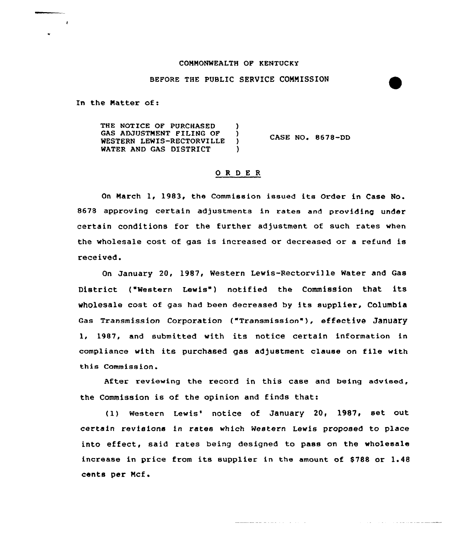## COMMONWEALTH OF KENTUCKY

## BEFORE THE PUBLIC SERVICE CONNISSION

In the Matter of:

 $\overline{1}$ 

THE NOTICE OF PURCHASED ) GAS ADJUSTMENT FILING OF )<br>WESTERN LEWIS-RECTORVILLE WESTERN LEWIS-RECTORVILLE )<br>WATER AND GAS DISTRICT ) WATER AND GAS DISTRICT CASE NO. 8678-DD

## ORDER

On March 1, 1983, the Commission issued its Order in Case No. 8678 approving certain adjustments in rates and providing under cextain conditions for the further adjustment of such rates when the wholesale cost of gas is increased or decreased ox a refund is received.

On January 20, 1987, Western Lewis-Rectorville Water and Gas District ("Western Lewis") notified the Commission that its wholesale cost of gas had been decreased by its supplier, Columbia Gas Transmission Corporation ("Transmission"), effective January 1, 1987, and submitted with its notice certain information in compliance with its purchased gas adjustment clause on file with this Commission.

After reviewing the record in this case and being advised, the Commission is of the opinion and finds that:

(1) Western Lewis' notice of January 20, 1987, set out certain xevisions in rates which Western Lewis proposed to place into effect, said rates being designed to pass on the wholesale increase in price from its supplier in the amount of \$788 or 1.48 cents per Ncf.

المارا والمستنقذ والمستحقق والمستنقذ

**Service Service**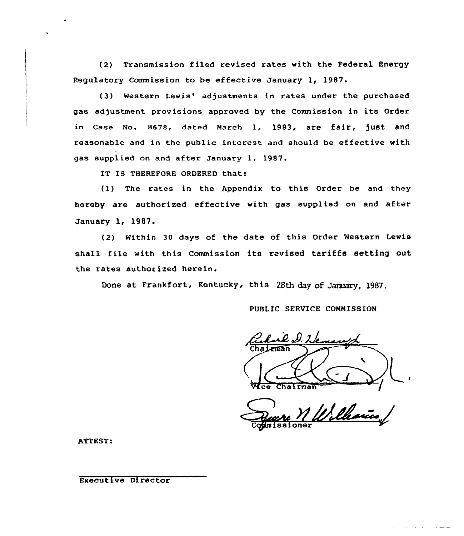(2) Transmission filed revised rates with the Federal Energy Regulatory Commission to be effective January 1, 1987

(3) Western Lewis' adjustments in rates under the purchased gas adjustment provisions approved by the Commission in its Order in Case No. 8678, dated March 1, 1983, are fair, )ust and reasonable and in the public interest and should be effective with gas supplied on and after January 1, 1987.

IT IS THEREFORE ORDERED that:

(1) The rates in the Appendix to this Order be and they hereby are authorized effective with gas supplied on and after January 1, 1987.

(2) Within 30 days of the date of this Order Western Lewis shall file with this Commission its revised tariffs setting out the rates authorized herein.

Done at Frankfort, Kentucky, this 28th day of January, 1987.

PUBLIC SERVICE COMMISSION

Chairman

Villain ssioner

ATTEST.

Executive Director